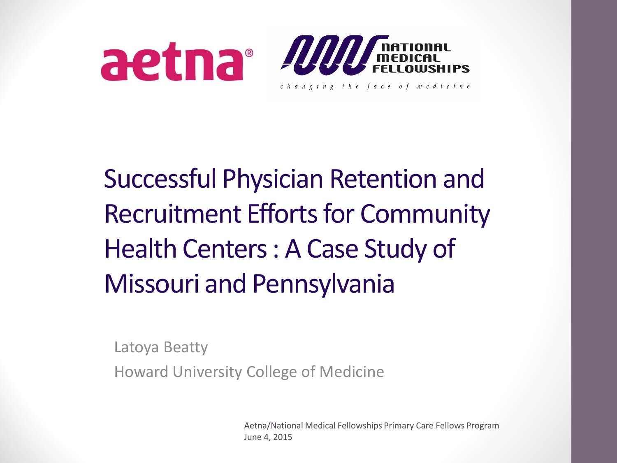

#### Successful Physician Retention and Recruitment Efforts for Community Health Centers : A Case Study of Missouri and Pennsylvania

Latoya Beatty

Howard University College of Medicine

Aetna/National Medical Fellowships Primary Care Fellows Program June 4, 2015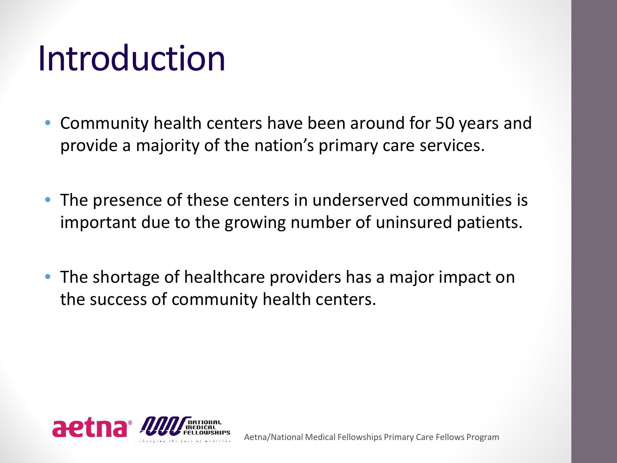#### Introduction

- Community health centers have been around for 50 years and provide a majority of the nation's primary care services.
- The presence of these centers in underserved communities is important due to the growing number of uninsured patients.
- The shortage of healthcare providers has a major impact on the success of community health centers.

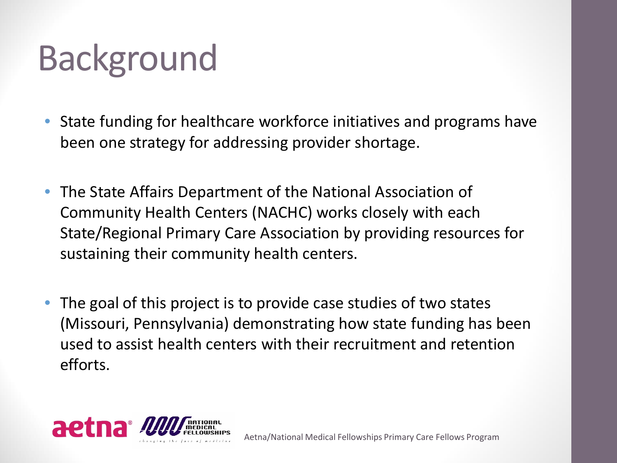# Background

- State funding for healthcare workforce initiatives and programs have been one strategy for addressing provider shortage.
- The State Affairs Department of the National Association of Community Health Centers (NACHC) works closely with each State/Regional Primary Care Association by providing resources for sustaining their community health centers.
- The goal of this project is to provide case studies of two states (Missouri, Pennsylvania) demonstrating how state funding has been used to assist health centers with their recruitment and retention efforts.

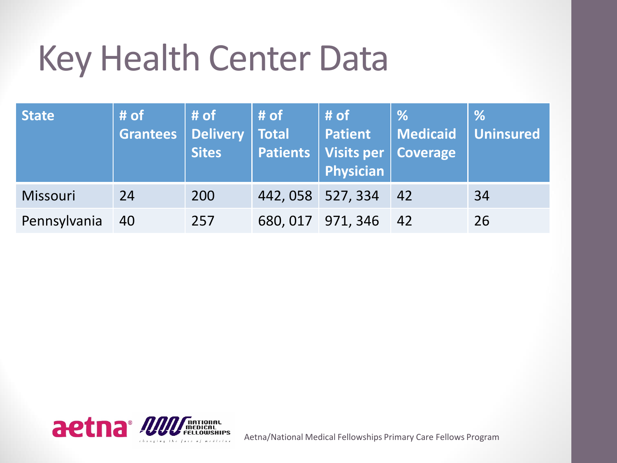#### Key Health Center Data

| <b>State</b>    | # of<br><b>Grantees</b> | # of<br>Delivery<br><b>Sites</b> | $#$ of<br>Total   | # of<br><b>Patient</b><br><b>Patients Visits per Coverage</b><br>Physician | $\frac{9}{6}$<br><b>Medicaid</b> | $\frac{9}{6}$<br>Uninsured |
|-----------------|-------------------------|----------------------------------|-------------------|----------------------------------------------------------------------------|----------------------------------|----------------------------|
| <b>Missouri</b> | 24                      | 200                              | 442, 058 527, 334 |                                                                            | 42                               | 34                         |
| Pennsylvania    | 40                      | 257                              |                   | 680, 017 971, 346                                                          | $-42$                            | 26                         |



Aetna/National Medical Fellowships Primary Care Fellows Program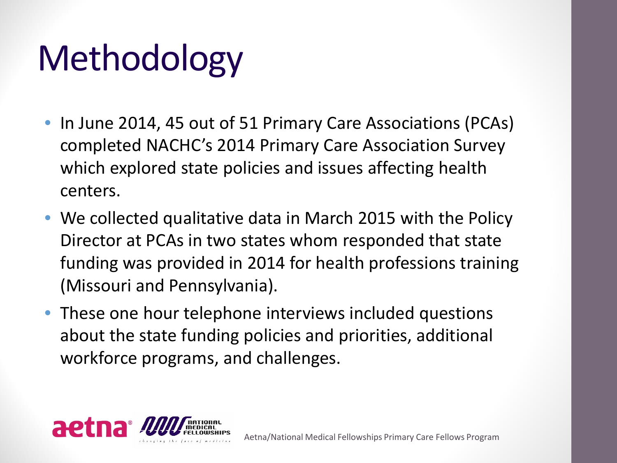# Methodology

- In June 2014, 45 out of 51 Primary Care Associations (PCAs) completed NACHC's 2014 Primary Care Association Survey which explored state policies and issues affecting health centers.
- We collected qualitative data in March 2015 with the Policy Director at PCAs in two states whom responded that state funding was provided in 2014 for health professions training (Missouri and Pennsylvania).
- These one hour telephone interviews included questions about the state funding policies and priorities, additional workforce programs, and challenges.

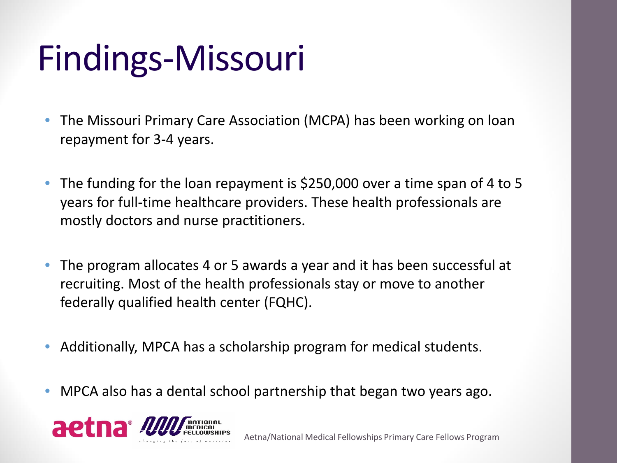# Findings-Missouri

- The Missouri Primary Care Association (MCPA) has been working on loan repayment for 3-4 years.
- The funding for the loan repayment is \$250,000 over a time span of 4 to 5 years for full-time healthcare providers. These health professionals are mostly doctors and nurse practitioners.
- The program allocates 4 or 5 awards a year and it has been successful at recruiting. Most of the health professionals stay or move to another federally qualified health center (FQHC).
- Additionally, MPCA has a scholarship program for medical students.
- MPCA also has a dental school partnership that began two years ago.

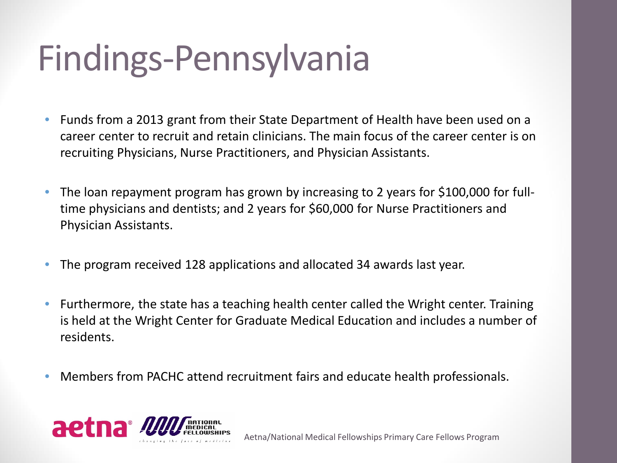#### Findings-Pennsylvania

- Funds from a 2013 grant from their State Department of Health have been used on a career center to recruit and retain clinicians. The main focus of the career center is on recruiting Physicians, Nurse Practitioners, and Physician Assistants.
- The loan repayment program has grown by increasing to 2 years for \$100,000 for fulltime physicians and dentists; and 2 years for \$60,000 for Nurse Practitioners and Physician Assistants.
- The program received 128 applications and allocated 34 awards last year.
- Furthermore, the state has a teaching health center called the Wright center. Training is held at the Wright Center for Graduate Medical Education and includes a number of residents.
- Members from PACHC attend recruitment fairs and educate health professionals.

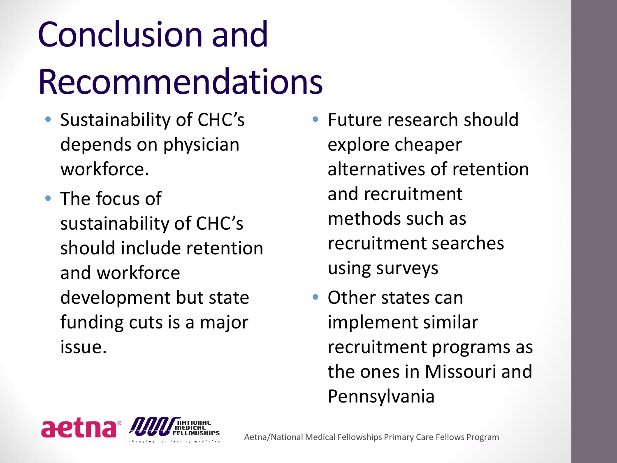# Conclusion and Recommendations

- Sustainability of CHC's depends on physician workforce.
- The focus of sustainability of CHC's should include retention and workforce development but state funding cuts is a major issue.
- Future research should explore cheaper alternatives of retention and recruitment methods such as recruitment searches using surveys
- Other states can implement similar recruitment programs as the ones in Missouri and Pennsylvania